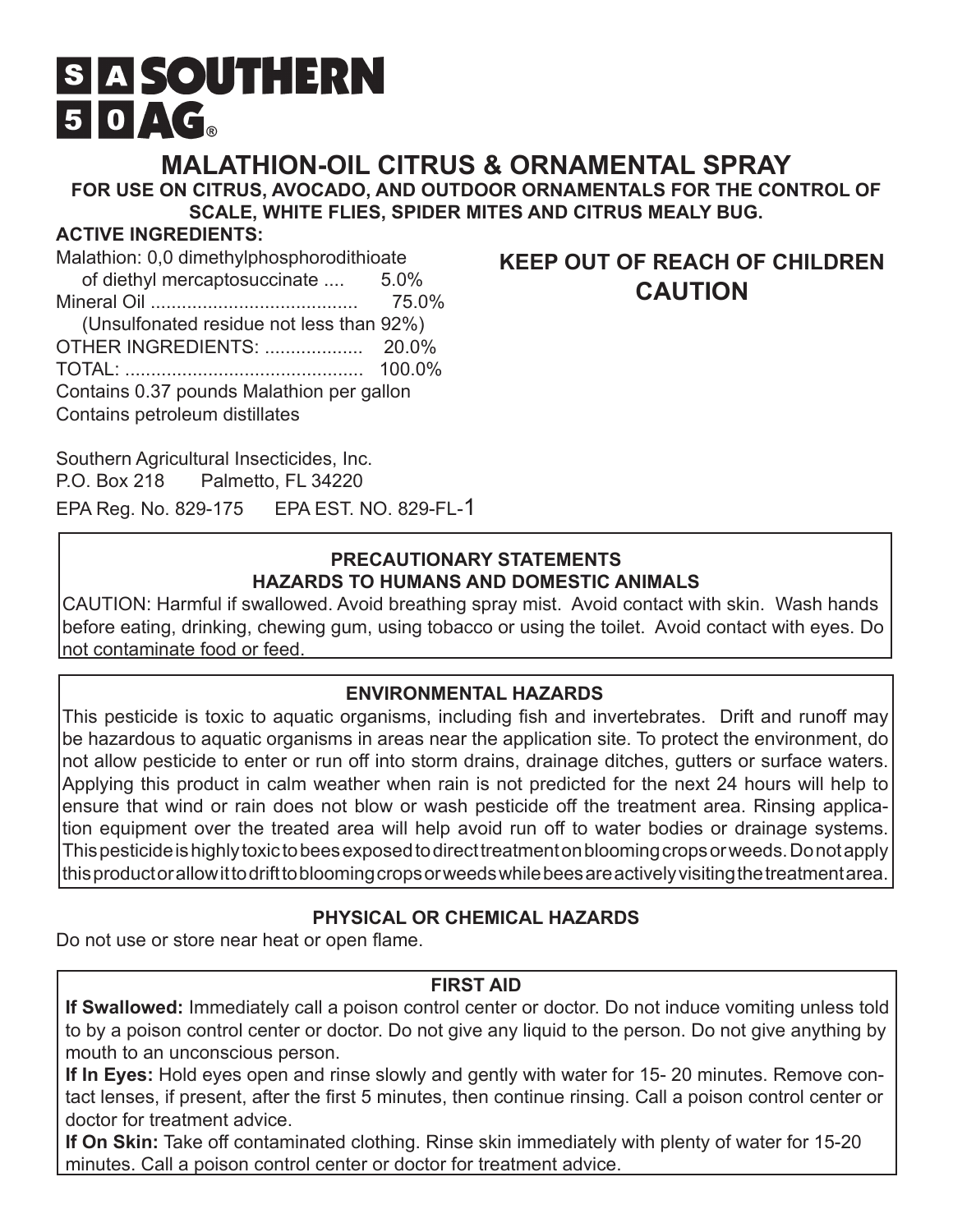# **S A SOUTHERN**  $50 \triangle G$

**MALATHION-OIL CITRUS & ORNAMENTAL SPRAY**

**FOR USE ON CITRUS, AVOCADO, AND OUTDOOR ORNAMENTALS FOR THE CONTROL OF SCALE, WHITE FLIES, SPIDER MITES AND CITRUS MEALY BUG.**

#### **ACTIVE INGREDIENTS:**

Malathion: 0,0 dimethylphosphorodithioate of diethyl mercaptosuccinate .... 5.0% Mineral Oil ........................................ 75.0% (Unsulfonated residue not less than 92%) OTHER INGREDIENTS: ................... 20.0% TOTAL: .............................................. 100.0% Contains 0.37 pounds Malathion per gallon Contains petroleum distillates

Southern Agricultural Insecticides, Inc. P.O. Box 218 Palmetto, FL 34220

EPA Reg. No. 829-175 EPA EST. NO. 829-FL-1

#### **PRECAUTIONARY STATEMENTS HAZARDS TO HUMANS AND DOMESTIC ANIMALS**

CAUTION: Harmful if swallowed. Avoid breathing spray mist. Avoid contact with skin. Wash hands before eating, drinking, chewing gum, using tobacco or using the toilet. Avoid contact with eyes. Do not contaminate food or feed.

#### **ENVIRONMENTAL HAZARDS**

This pesticide is toxic to aquatic organisms, including fish and invertebrates. Drift and runoff may be hazardous to aquatic organisms in areas near the application site. To protect the environment, do not allow pesticide to enter or run off into storm drains, drainage ditches, gutters or surface waters. Applying this product in calm weather when rain is not predicted for the next 24 hours will help to ensure that wind or rain does not blow or wash pesticide off the treatment area. Rinsing application equipment over the treated area will help avoid run off to water bodies or drainage systems. This pesticide is highly toxic to bees exposed to direct treatment on blooming crops or weeds. Do not apply this product or allow it to drift to blooming crops or weeds while bees are actively visiting the treatment area.

# **PHYSICAL OR CHEMICAL HAZARDS**

Do not use or store near heat or open flame.

#### **FIRST AID**

**If Swallowed:** Immediately call a poison control center or doctor. Do not induce vomiting unless told to by a poison control center or doctor. Do not give any liquid to the person. Do not give anything by mouth to an unconscious person.

**If In Eyes:** Hold eyes open and rinse slowly and gently with water for 15- 20 minutes. Remove contact lenses, if present, after the first 5 minutes, then continue rinsing. Call a poison control center or doctor for treatment advice.

**If On Skin:** Take off contaminated clothing. Rinse skin immediately with plenty of water for 15-20 minutes. Call a poison control center or doctor for treatment advice.

# **KEEP OUT OF REACH OF CHILDREN CAUTION**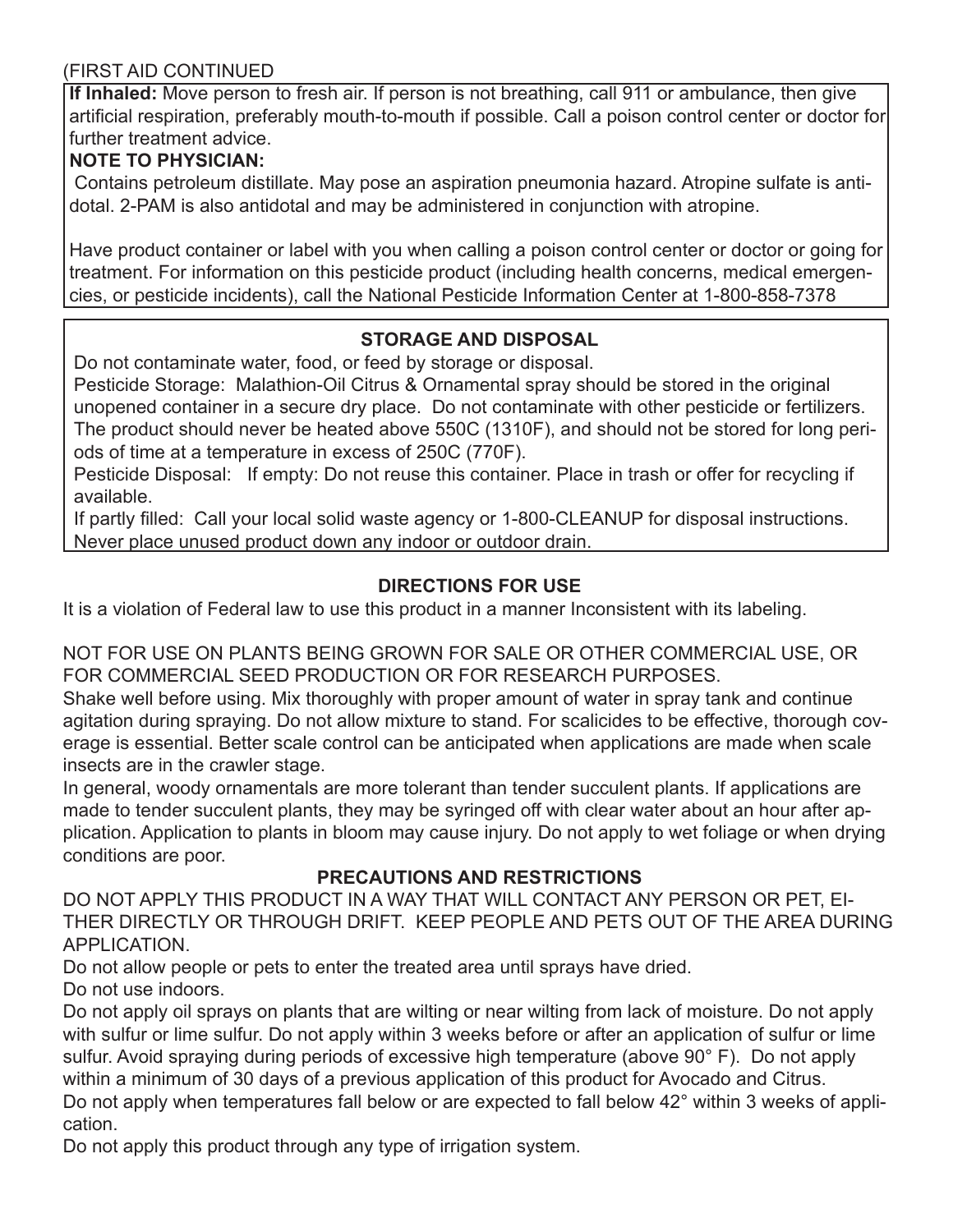#### (FIRST AID CONTINUED

**If Inhaled:** Move person to fresh air. If person is not breathing, call 911 or ambulance, then give artificial respiration, preferably mouth-to-mouth if possible. Call a poison control center or doctor for further treatment advice.

# **NOTE TO PHYSICIAN:**

 Contains petroleum distillate. May pose an aspiration pneumonia hazard. Atropine sulfate is antidotal. 2-PAM is also antidotal and may be administered in conjunction with atropine.

Have product container or label with you when calling a poison control center or doctor or going for treatment. For information on this pesticide product (including health concerns, medical emergencies, or pesticide incidents), call the National Pesticide Information Center at 1-800-858-7378

# **STORAGE AND DISPOSAL**

Do not contaminate water, food, or feed by storage or disposal.

Pesticide Storage: Malathion-Oil Citrus & Ornamental spray should be stored in the original unopened container in a secure dry place. Do not contaminate with other pesticide or fertilizers. The product should never be heated above 550C (1310F), and should not be stored for long periods of time at a temperature in excess of 250C (770F).

Pesticide Disposal: If empty: Do not reuse this container. Place in trash or offer for recycling if available.

If partly filled: Call your local solid waste agency or 1-800-CLEANUP for disposal instructions. Never place unused product down any indoor or outdoor drain.

# **DIRECTIONS FOR USE**

It is a violation of Federal law to use this product in a manner Inconsistent with its labeling.

NOT FOR USE ON PLANTS BEING GROWN FOR SALE OR OTHER COMMERCIAL USE, OR FOR COMMERCIAL SEED PRODUCTION OR FOR RESEARCH PURPOSES.

Shake well before using. Mix thoroughly with proper amount of water in spray tank and continue agitation during spraying. Do not allow mixture to stand. For scalicides to be effective, thorough coverage is essential. Better scale control can be anticipated when applications are made when scale insects are in the crawler stage.

In general, woody ornamentals are more tolerant than tender succulent plants. If applications are made to tender succulent plants, they may be syringed off with clear water about an hour after application. Application to plants in bloom may cause injury. Do not apply to wet foliage or when drying conditions are poor.

# **PRECAUTIONS AND RESTRICTIONS**

DO NOT APPLY THIS PRODUCT IN A WAY THAT WILL CONTACT ANY PERSON OR PET, EI-THER DIRECTLY OR THROUGH DRIFT. KEEP PEOPLE AND PETS OUT OF THE AREA DURING APPLICATION.

Do not allow people or pets to enter the treated area until sprays have dried. Do not use indoors.

Do not apply oil sprays on plants that are wilting or near wilting from lack of moisture. Do not apply with sulfur or lime sulfur. Do not apply within 3 weeks before or after an application of sulfur or lime sulfur. Avoid spraying during periods of excessive high temperature (above 90° F). Do not apply within a minimum of 30 days of a previous application of this product for Avocado and Citrus. Do not apply when temperatures fall below or are expected to fall below 42° within 3 weeks of application.

Do not apply this product through any type of irrigation system.